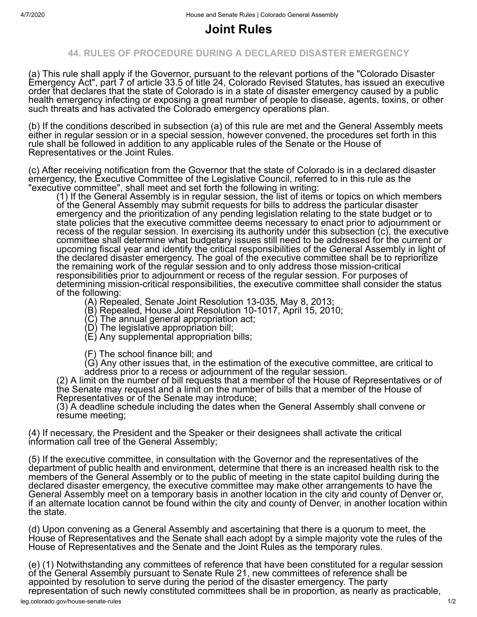## **Joint Rules**

## **44. RULES OF PROCEDURE DURING A DECLARED DISASTER EMERGENCY**

(a) This rule shall apply if the Governor, pursuant to the relevant portions of the "Colorado Disaster Emergency Act", part 7 of article 33.5 of title 24, Colorado Revised Statutes, has issued an executive order that declares that the state of Colorado is in a state of disaster emergency caused by a public health emergency infecting or exposing a great number of people to disease, agents, toxins, or other such threats and has activated the Colorado emergency operations plan.

(b) If the conditions described in subsection (a) of this rule are met and the General Assembly meets either in regular session or in a special session, however convened, the procedures set forth in this rule shall be followed in addition to any applicable rules of the Senate or the House of Representatives or the Joint Rules.

(c) After receiving notification from the Governor that the state of Colorado is in a declared disaster emergency, the Executive Committee of the Legislative Council, referred to in this rule as the "executive committee", shall meet and set forth the following in writing:

(1) If the General Assembly is in regular session, the list of items or topics on which members of the General Assembly may submit requests for bills to address the particular disaster emergency and the prioritization of any pending legislation relating to the state budget or to state policies that the executive committee deems necessary to enact prior to adjournment or recess of the regular session. In exercising its authority under this subsection (c), the executive committee shall determine what budgetary issues still need to be addressed for the current or upcoming fiscal year and identify the critical responsibilities of the General Assembly in light of the declared disaster emergency. The goal of the executive committee shall be to reprioritize the remaining work of the regular session and to only address those mission-critical responsibilities prior to adjournment or recess of the regular session. For purposes of determining mission-critical responsibilities, the executive committee shall consider the status of the following:

(A) Repealed, Senate Joint Resolution 13-035, May 8, 2013;

(B) Repealed, House Joint Resolution 10-1017, April 15, 2010;

(C) The annual general appropriation act;

(D) The legislative appropriation bill;

(E) Any supplemental appropriation bills;

(F) The school finance bill; and

(G) Any other issues that, in the estimation of the executive committee, are critical to address prior to a recess or adjournment of the regular session.

(2) A limit on the number of bill requests that a member of the House of Representatives or of the Senate may request and a limit on the number of bills that a member of the House of Representatives or of the Senate may introduce;

(3) A deadline schedule including the dates when the General Assembly shall convene or resume meeting;

(4) If necessary, the President and the Speaker or their designees shall activate the critical information call tree of the General Assembly;

(5) If the executive committee, in consultation with the Governor and the representatives of the department of public health and environment, determine that there is an increased health risk to the members of the General Assembly or to the public of meeting in the state capitol building during the declared disaster emergency, the executive committee may make other arrangements to have the General Assembly meet on a temporary basis in another location in the city and county of Denver or, if an alternate location cannot be found within the city and county of Denver, in another location within the state.

(d) Upon convening as a General Assembly and ascertaining that there is a quorum to meet, the House of Representatives and the Senate shall each adopt by a simple majority vote the rules of the House of Representatives and the Senate and the Joint Rules as the temporary rules.

(e) (1) Notwithstanding any committees of reference that have been constituted for a regular session of the General Assembly pursuant to Senate Rule 21, new committees of reference shall be appointed by resolution to serve during the period of the disaster emergency. The party representation of such newly constituted committees shall be in proportion, as nearly as practicable,